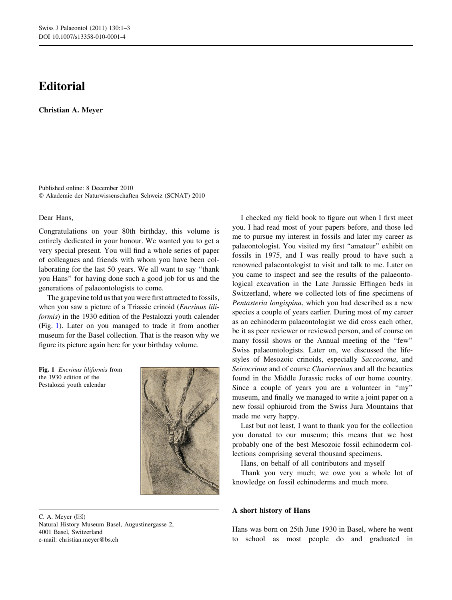## **Editorial**

Christian A. Meyer

Published online: 8 December 2010 - Akademie der Naturwissenschaften Schweiz (SCNAT) 2010

## Dear Hans,

Congratulations on your 80th birthday, this volume is entirely dedicated in your honour. We wanted you to get a very special present. You will find a whole series of paper of colleagues and friends with whom you have been collaborating for the last 50 years. We all want to say ''thank you Hans'' for having done such a good job for us and the generations of palaeontologists to come.

The grapevine told us that you were first attracted to fossils, when you saw a picture of a Triassic crinoid (*Encrinus lili*formis) in the 1930 edition of the Pestalozzi youth calender (Fig. 1). Later on you managed to trade it from another museum for the Basel collection. That is the reason why we figure its picture again here for your birthday volume.

Fig. 1 Encrinus liliformis from the 1930 edition of the Pestalozzi youth calendar



C. A. Meyer  $(\boxtimes)$ Natural History Museum Basel, Augustinergasse 2, 4001 Basel, Switzerland e-mail: christian.meyer@bs.ch

I checked my field book to figure out when I first meet you. I had read most of your papers before, and those led me to pursue my interest in fossils and later my career as palaeontologist. You visited my first ''amateur'' exhibit on fossils in 1975, and I was really proud to have such a renowned palaeontologist to visit and talk to me. Later on you came to inspect and see the results of the palaeontological excavation in the Late Jurassic Effingen beds in Switzerland, where we collected lots of fine specimens of Pentasteria longispina, which you had described as a new species a couple of years earlier. During most of my career as an echinoderm palaeontologist we did cross each other, be it as peer reviewer or reviewed person, and of course on many fossil shows or the Annual meeting of the ''few'' Swiss palaeontologists. Later on, we discussed the lifestyles of Mesozoic crinoids, especially Saccocoma, and Seirocrinus and of course Chariocrinus and all the beauties found in the Middle Jurassic rocks of our home country. Since a couple of years you are a volunteer in "my" museum, and finally we managed to write a joint paper on a new fossil ophiuroid from the Swiss Jura Mountains that made me very happy.

Last but not least, I want to thank you for the collection you donated to our museum; this means that we host probably one of the best Mesozoic fossil echinoderm collections comprising several thousand specimens.

Hans, on behalf of all contributors and myself

Thank you very much; we owe you a whole lot of knowledge on fossil echinoderms and much more.

## A short history of Hans

Hans was born on 25th June 1930 in Basel, where he went to school as most people do and graduated in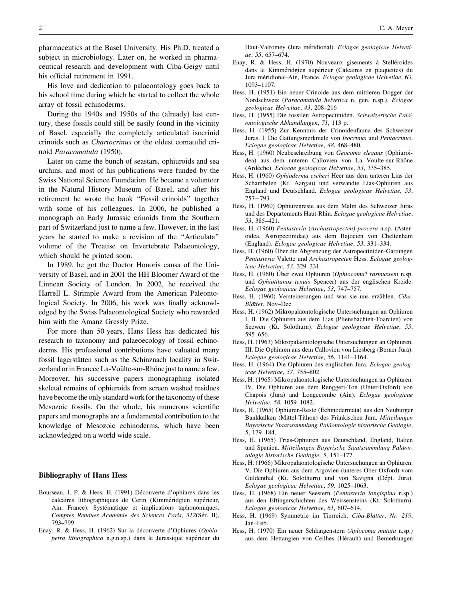pharmaceutics at the Basel University. His Ph.D. treated a subject in microbiology. Later on, he worked in pharmaceutical research and development with Ciba-Geigy until his official retirement in 1991.

His love and dedication to palaeontology goes back to his school time during which he started to collect the whole array of fossil echinoderms.

During the 1940s and 1950s of the (already) last century, these fossils could still be easily found in the vicinity of Basel, especially the completely articulated isocrinid crinoids such as Chariocrinus or the oldest comatulid crinoid Paracomatula (1950).

Later on came the bunch of seastars, ophiuroids and sea urchins, and most of his publications were funded by the Swiss National Science Foundation. He became a volunteer in the Natural History Museum of Basel, and after his retirement he wrote the book ''Fossil crinoids'' together with some of his colleagues. In 2006, he published a monograph on Early Jurassic crinoids from the Southern part of Switzerland just to name a few. However, in the last years he started to make a revision of the ''Articulata'' volume of the Treatise on Invertebrate Palaeontology, which should be printed soon.

In 1989, he got the Doctor Honoris causa of the University of Basel, and in 2001 the HH Bloomer Award of the Linnean Society of London. In 2002, he received the Harrell L. Strimple Award from the American Paleontological Society. In 2006, his work was finally acknowledged by the Swiss Palaeontological Society who rewarded him with the Amanz Gressly Prize.

For more than 50 years, Hans Hess has dedicated his research to taxonomy and palaeoecology of fossil echinoderms. His professional contributions have valuated many fossil lagerstätten such as the Schinznach locality in Switzerland or in Francee La-Voûlte-sur-Rhône just to name a few. Moreover, his successive papers monographing isolated skeletal remains of ophiuroids from screen washed residues have become the only standard work for the taxonomy of these Mesozoic fossils. On the whole, his numerous scientific papers and monographs are a fundamental contribution to the knowledge of Mesozoic echinoderms, which have been acknowledged on a world wide scale.

## Bibliography of Hans Hess

- Bourseau, J. P. & Hess, H. (1991) Découverte d'ophiures dans les calcaires lithographiques de Cerin (Kimméridgien supérieur, Ain, France). Systématique et implications taphonomiques. Comptes Rendues Académie des Sciences Paris, 312(Sér. II), 793–799
- Enay, R. & Hess, H. (1962) Sur la découverte d'Ophiures (Ophiopetra lithographica n.g.n.sp.) dans le Jurassique supérieur du

Haut-Valromey (Jura méridional). Eclogae geologicae Helvetiae, 55, 657–674.

- Enay, R. & Hess, H. (1970) Nouveaux gisements à Stelléroides dans le Kimméridgien supérieur (Calcaires en plaquettes) du Jura méridional-Ain, France. Eclogae geologicae Helvetiae, 63, 1093–1107.
- Hess, H. (1951) Ein neuer Crinoide aus dem mittleren Dogger der Nordschweiz (Paracomatula helvetica n. gen. n.sp.). Eclogae geologicae Helvetiae, 43, 208–216
- Hess, H. (1955) Die fossilen Astropectiniden. Schweizerische Paläontologische Abhandlungen, 71, 113 p.
- Hess, H. (1955) Zur Kenntnis der Crinoidenfauna des Schweizer Juras. I. Die Gattungsmerkmale von Isocrinus und Pentacrinus. Eclogae geologicae Helvetiae, 48, 468–480.
- Hess, H. (1960) Neubeschreibung von Geocoma elegans (Ophiuroidea) aus dem unteren Callovien von La Voulte-sur-Rhône (Ardèche). Eclogae geologicae Helvetiae, 53, 335–385.
- Hess, H. (1960) Ophioderma escheri Heer aus dem unteren Lias der Schambelen (Kt. Aargau) und verwandte Lias-Ophiuren aus England und Deutschland. Eclogae geologicae Helvetiae, 53, 757-793.
- Hess, H. (1960) Ophiurenreste aus dem Malm des Schweizer Juras und des Departements Haut-Rhin. Eclogae geologicae Helvetiae, 53, 385–421.
- Hess, H. (1960) Pentasteria (Archastropecten) procera n.sp. (Asteroidea, Astropectinidae) aus dem Bajocien von Cheltenham (England). Eclogae geologicae Helvetiae, 53, 331–334.
- Hess, H. (1960) Über die Abgrenzung der Astropectiniden-Gattungen Pentasteria Valette und Archastropecten Hess. Eclogae geologicae Helvetiae, 53, 329–331.
- Hess, H. (1960) Über zwei Ophiuren (Ophiocoma? rasmusseni n.sp. und Ophiotitanos tenuis Spencer) aus der englischen Kreide. Eclogae geologicae Helvetiae, 53, 747–757.
- Hess, H. (1960) Versteinerungen und was sie uns erzählen. Ciba-Blätter, Nov–Dec
- Hess, H. (1962) Mikropaläontologische Untersuchungen an Ophiuren I, II. Die Ophiuren aus dem Lias (Pliensbachien-Toarcien) von Seewen (Kt. Solothurn). Eclogae geologicae Helvetiae, 55, 595–656.
- Hess, H. (1963) Mikropaläontologische Untersuchungen an Ophiuren. III. Die Ophiuren aus dem Callovien von Liesberg (Berner Jura). Eclogae geologicae Helvetiae, 56, 1141–1164.
- Hess, H. (1964) Die Ophiuren des englischen Jura. Eclogae geologicae Helvetiae, 57, 755–802.
- Hess, H. (1965) Mikropaläontologische Untersuchungen an Ophiuren. IV. Die Ophiuren aus dem Renggeri-Ton (Unter-Oxford) von Chapois (Jura) and Longecombe (Ain). Eclogae geologicae Helvetiae, 58, 1059–1082.
- Hess, H. (1965) Ophiuren-Reste (Echinodermata) aus den Neuburger Bankkalken (Mittel-Tithon) des Fränkischen Jura. Mitteilungen Bayerische Staatssammlung Paläontologie historische Geologie, 5, 179–184.
- Hess, H. (1965) Trias-Ophiuren aus Deutschland, England, Italien und Spanien. Mitteilungen Bayerische Staatssammlung Paläontologie historische Geologie, 5, 151–177.
- Hess, H. (1966) Mikropaläontologische Untersuchungen an Ophiuren. V. Die Ophiuren aus dem Argovien (unteres Ober-Oxford) vom Guldenthal (Kt. Solothurn) und von Savigna (Dépt. Jura). Eclogae geologicae Helvetiae, 59, 1025–1063.
- Hess, H. (1968) Ein neuer Seestern (Pentasteria longispina n.sp.) aus den Effingerschichten des Weissensteins (Kt. Solothurn). Eclogae geologicae Helvetiae, 61, 607–614.
- Hess, H. (1969) Symmetrie im Tierreich. Ciba-Blätter, Nr. 219, Jan–Feb.
- Hess, H. (1970) Ein neuer Schlangenstern (Aplocoma mutata n.sp.) aus dem Hettangien von Ceilhes (Hérault) und Bemerkungen